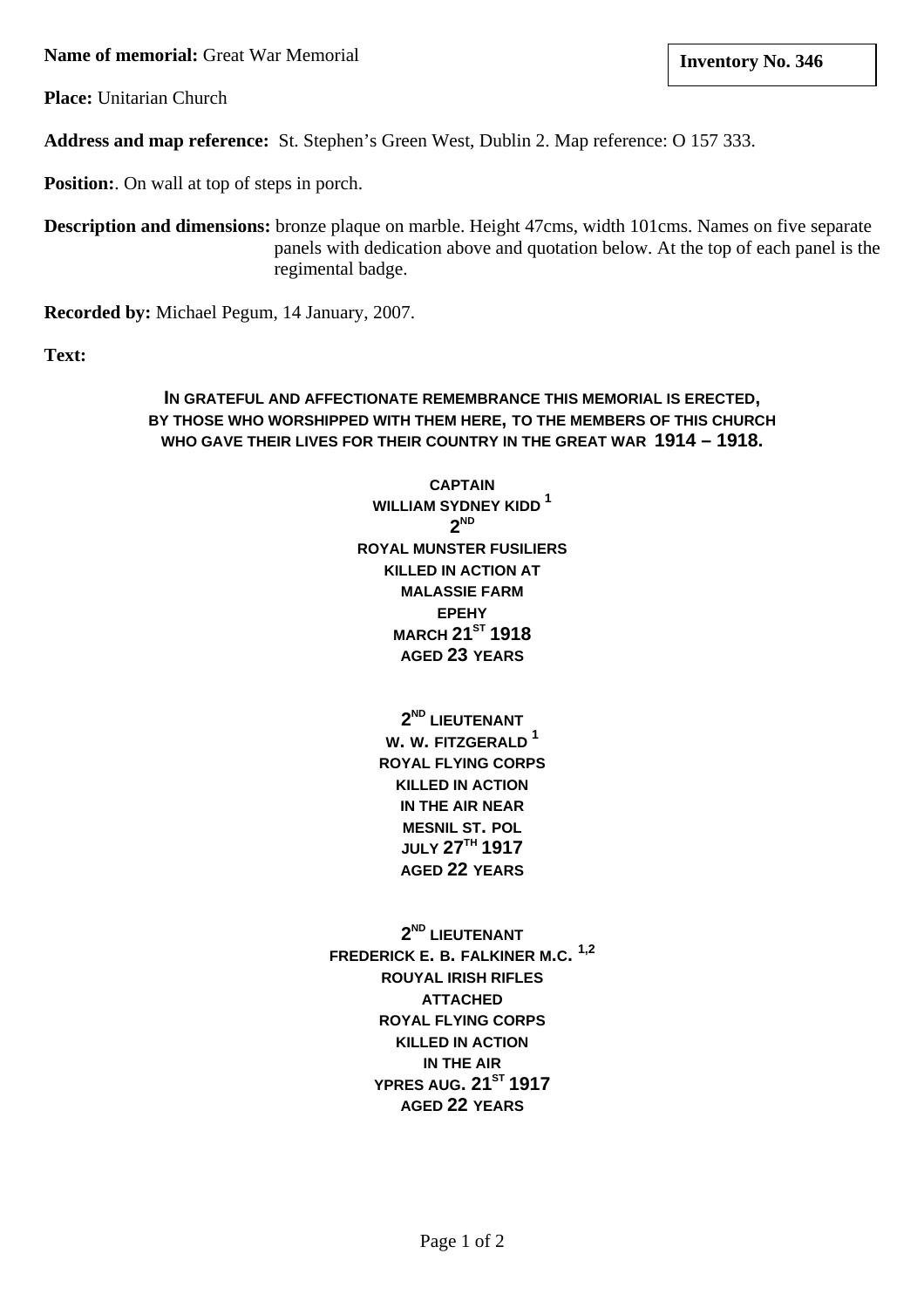**Name of memorial:** Great War Memorial **and Structure 1 and Structure 1 and Structure 1 and Structure 1 and Structure 1 and Structure 1 and Structure 1 and Structure 1 and Structure 1 and Structure 1 and Structure 1 and St** 

**Place:** Unitarian Church

**Address and map reference:** St. Stephen's Green West, Dublin 2. Map reference: O 157 333.

**Position:**. On wall at top of steps in porch.

**Description and dimensions:** bronze plaque on marble. Height 47cms, width 101cms. Names on five separate panels with dedication above and quotation below. At the top of each panel is the regimental badge.

**Recorded by:** Michael Pegum, 14 January, 2007.

**Text:**

# **IN GRATEFUL AND AFFECTIONATE REMEMBRANCE THIS MEMORIAL IS ERECTED, BY THOSE WHO WORSHIPPED WITH THEM HERE, TO THE MEMBERS OF THIS CHURCH WHO GAVE THEIR LIVES FOR THEIR COUNTRY IN THE GREAT WAR 1914 – 1918.**

**CAPTAIN WILLIAM SYDNEY KIDD <sup>1</sup> 2ND ROYAL MUNSTER FUSILIERS KILLED IN ACTION AT MALASSIE FARM EPEHY MARCH 21ST 1918 AGED 23 YEARS**

> **2ND LIEUTENANT W. W. FITZGERALD <sup>1</sup> ROYAL FLYING CORPS KILLED IN ACTION IN THE AIR NEAR MESNIL ST. POL JULY 27TH 1917 AGED 22 YEARS**

**2ND LIEUTENANT FREDERICK E. B. FALKINER M.C. 1,2 ROUYAL IRISH RIFLES ATTACHED ROYAL FLYING CORPS KILLED IN ACTION IN THE AIR YPRES AUG. 21ST 1917 AGED 22 YEARS**